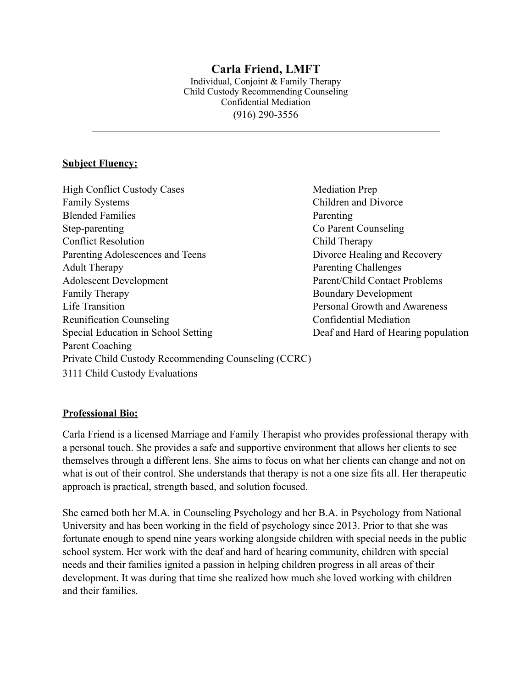## **Carla Friend, LMFT**

Individual, Conjoint & Family Therapy Child Custody Recommending Counseling Confidential Mediation (916) 290-3556

## **Subject Fluency:**

High Conflict Custody Cases Mediation Prep Family Systems Children and Divorce Blended Families Parenting Step-parenting Co Parent Counseling Conflict Resolution Child Therapy Parenting Adolescences and Teens Divorce Healing and Recovery Adult Therapy Parenting Challenges Adolescent Development Parent/Child Contact Problems Family Therapy Boundary Development Life Transition **Personal Growth and Awareness** Reunification Counseling Confidential Mediation Special Education in School Setting Deaf and Hard of Hearing population Parent Coaching Private Child Custody Recommending Counseling (CCRC)

3111 Child Custody Evaluations

## **Professional Bio:**

Carla Friend is a licensed Marriage and Family Therapist who provides professional therapy with a personal touch. She provides a safe and supportive environment that allows her clients to see themselves through a different lens. She aims to focus on what her clients can change and not on what is out of their control. She understands that therapy is not a one size fits all. Her therapeutic approach is practical, strength based, and solution focused.

She earned both her M.A. in Counseling Psychology and her B.A. in Psychology from National University and has been working in the field of psychology since 2013. Prior to that she was fortunate enough to spend nine years working alongside children with special needs in the public school system. Her work with the deaf and hard of hearing community, children with special needs and their families ignited a passion in helping children progress in all areas of their development. It was during that time she realized how much she loved working with children and their families.